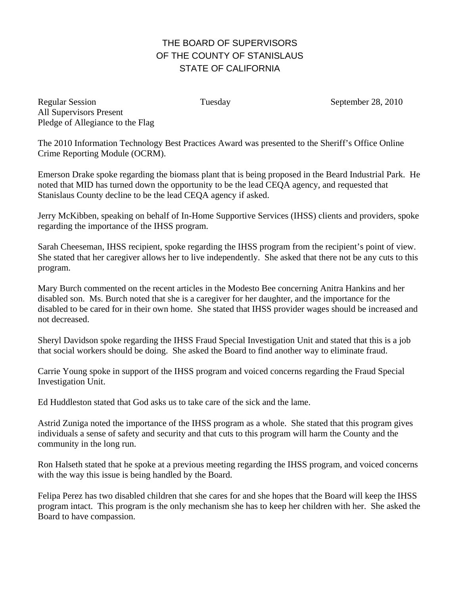## THE BOARD OF SUPERVISORS OF THE COUNTY OF STANISLAUS STATE OF CALIFORNIA

Regular Session Tuesday Tuesday September 28, 2010 All Supervisors Present Pledge of Allegiance to the Flag

The 2010 Information Technology Best Practices Award was presented to the Sheriff's Office Online Crime Reporting Module (OCRM).

Emerson Drake spoke regarding the biomass plant that is being proposed in the Beard Industrial Park. He noted that MID has turned down the opportunity to be the lead CEQA agency, and requested that Stanislaus County decline to be the lead CEQA agency if asked.

Jerry McKibben, speaking on behalf of In-Home Supportive Services (IHSS) clients and providers, spoke regarding the importance of the IHSS program.

Sarah Cheeseman, IHSS recipient, spoke regarding the IHSS program from the recipient's point of view. She stated that her caregiver allows her to live independently. She asked that there not be any cuts to this program.

Mary Burch commented on the recent articles in the Modesto Bee concerning Anitra Hankins and her disabled son. Ms. Burch noted that she is a caregiver for her daughter, and the importance for the disabled to be cared for in their own home. She stated that IHSS provider wages should be increased and not decreased.

Sheryl Davidson spoke regarding the IHSS Fraud Special Investigation Unit and stated that this is a job that social workers should be doing. She asked the Board to find another way to eliminate fraud.

Carrie Young spoke in support of the IHSS program and voiced concerns regarding the Fraud Special Investigation Unit.

Ed Huddleston stated that God asks us to take care of the sick and the lame.

Astrid Zuniga noted the importance of the IHSS program as a whole. She stated that this program gives individuals a sense of safety and security and that cuts to this program will harm the County and the community in the long run.

Ron Halseth stated that he spoke at a previous meeting regarding the IHSS program, and voiced concerns with the way this issue is being handled by the Board.

Felipa Perez has two disabled children that she cares for and she hopes that the Board will keep the IHSS program intact. This program is the only mechanism she has to keep her children with her. She asked the Board to have compassion.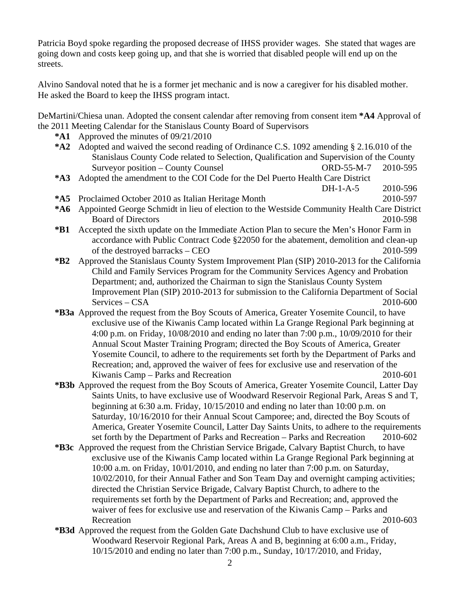Patricia Boyd spoke regarding the proposed decrease of IHSS provider wages. She stated that wages are going down and costs keep going up, and that she is worried that disabled people will end up on the streets.

Alvino Sandoval noted that he is a former jet mechanic and is now a caregiver for his disabled mother. He asked the Board to keep the IHSS program intact.

DeMartini/Chiesa unan. Adopted the consent calendar after removing from consent item **\*A4** Approval of the 2011 Meeting Calendar for the Stanislaus County Board of Supervisors

- **\*A1** Approved the minutes of 09/21/2010
- **\*A2** Adopted and waived the second reading of Ordinance C.S. 1092 amending § 2.16.010 of the Stanislaus County Code related to Selection, Qualification and Supervision of the County Surveyor position – County Counsel CORD-55-M-7 2010-595
- **\*A3** Adopted the amendment to the COI Code for the Del Puerto Health Care District
- DH-1-A-5 2010-596 **\*A5** Proclaimed October 2010 as Italian Heritage Month 2010-597
- **\*A6** Appointed George Schmidt in lieu of election to the Westside Community Health Care District Board of Directors 2010-598
- **\*B1** Accepted the sixth update on the Immediate Action Plan to secure the Men's Honor Farm in accordance with Public Contract Code §22050 for the abatement, demolition and clean-up of the destroyed barracks – CEO 2010-599
- **\*B2** Approved the Stanislaus County System Improvement Plan (SIP) 2010-2013 for the California Child and Family Services Program for the Community Services Agency and Probation Department; and, authorized the Chairman to sign the Stanislaus County System Improvement Plan (SIP) 2010-2013 for submission to the California Department of Social Services – CSA 2010-600
- **\*B3a** Approved the request from the Boy Scouts of America, Greater Yosemite Council, to have exclusive use of the Kiwanis Camp located within La Grange Regional Park beginning at 4:00 p.m. on Friday, 10/08/2010 and ending no later than 7:00 p.m., 10/09/2010 for their Annual Scout Master Training Program; directed the Boy Scouts of America, Greater Yosemite Council, to adhere to the requirements set forth by the Department of Parks and Recreation; and, approved the waiver of fees for exclusive use and reservation of the Kiwanis Camp – Parks and Recreation 2010-601
- **\*B3b** Approved the request from the Boy Scouts of America, Greater Yosemite Council, Latter Day Saints Units, to have exclusive use of Woodward Reservoir Regional Park, Areas S and T, beginning at 6:30 a.m. Friday, 10/15/2010 and ending no later than 10:00 p.m. on Saturday, 10/16/2010 for their Annual Scout Camporee; and, directed the Boy Scouts of America, Greater Yosemite Council, Latter Day Saints Units, to adhere to the requirements set forth by the Department of Parks and Recreation – Parks and Recreation 2010-602
- **\*B3c** Approved the request from the Christian Service Brigade, Calvary Baptist Church, to have exclusive use of the Kiwanis Camp located within La Grange Regional Park beginning at 10:00 a.m. on Friday, 10/01/2010, and ending no later than 7:00 p.m. on Saturday, 10/02/2010, for their Annual Father and Son Team Day and overnight camping activities; directed the Christian Service Brigade, Calvary Baptist Church, to adhere to the requirements set forth by the Department of Parks and Recreation; and, approved the waiver of fees for exclusive use and reservation of the Kiwanis Camp – Parks and Recreation 2010-603
- **\*B3d** Approved the request from the Golden Gate Dachshund Club to have exclusive use of Woodward Reservoir Regional Park, Areas A and B, beginning at 6:00 a.m., Friday, 10/15/2010 and ending no later than 7:00 p.m., Sunday, 10/17/2010, and Friday,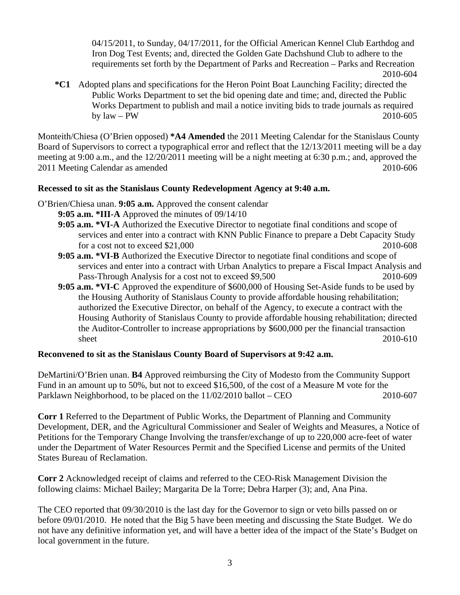04/15/2011, to Sunday, 04/17/2011, for the Official American Kennel Club Earthdog and Iron Dog Test Events; and, directed the Golden Gate Dachshund Club to adhere to the requirements set forth by the Department of Parks and Recreation – Parks and Recreation 2010-604

**\*C1** Adopted plans and specifications for the Heron Point Boat Launching Facility; directed the Public Works Department to set the bid opening date and time; and, directed the Public Works Department to publish and mail a notice inviting bids to trade journals as required by law – PW 2010-605

Monteith/Chiesa (O'Brien opposed) **\*A4 Amended** the 2011 Meeting Calendar for the Stanislaus County Board of Supervisors to correct a typographical error and reflect that the 12/13/2011 meeting will be a day meeting at 9:00 a.m., and the 12/20/2011 meeting will be a night meeting at 6:30 p.m.; and, approved the 2011 Meeting Calendar as amended 2010-606

## **Recessed to sit as the Stanislaus County Redevelopment Agency at 9:40 a.m.**

- O'Brien/Chiesa unan. **9:05 a.m.** Approved the consent calendar
	- **9:05 a.m. \*III-A** Approved the minutes of 09/14/10
	- **9:05 a.m. \*VI-A** Authorized the Executive Director to negotiate final conditions and scope of services and enter into a contract with KNN Public Finance to prepare a Debt Capacity Study for a cost not to exceed  $$21,000$
	- **9:05 a.m. \*VI-B** Authorized the Executive Director to negotiate final conditions and scope of services and enter into a contract with Urban Analytics to prepare a Fiscal Impact Analysis and Pass-Through Analysis for a cost not to exceed \$9,500 2010-609
	- **9:05 a.m. \*VI-C** Approved the expenditure of \$600,000 of Housing Set-Aside funds to be used by the Housing Authority of Stanislaus County to provide affordable housing rehabilitation; authorized the Executive Director, on behalf of the Agency, to execute a contract with the Housing Authority of Stanislaus County to provide affordable housing rehabilitation; directed the Auditor-Controller to increase appropriations by \$600,000 per the financial transaction sheet 2010-610

## **Reconvened to sit as the Stanislaus County Board of Supervisors at 9:42 a.m.**

DeMartini/O'Brien unan. **B4** Approved reimbursing the City of Modesto from the Community Support Fund in an amount up to 50%, but not to exceed \$16,500, of the cost of a Measure M vote for the Parklawn Neighborhood, to be placed on the 11/02/2010 ballot – CEO 2010-607

**Corr 1** Referred to the Department of Public Works, the Department of Planning and Community Development, DER, and the Agricultural Commissioner and Sealer of Weights and Measures, a Notice of Petitions for the Temporary Change Involving the transfer/exchange of up to 220,000 acre-feet of water under the Department of Water Resources Permit and the Specified License and permits of the United States Bureau of Reclamation.

**Corr 2** Acknowledged receipt of claims and referred to the CEO-Risk Management Division the following claims: Michael Bailey; Margarita De la Torre; Debra Harper (3); and, Ana Pina.

The CEO reported that 09/30/2010 is the last day for the Governor to sign or veto bills passed on or before 09/01/2010. He noted that the Big 5 have been meeting and discussing the State Budget. We do not have any definitive information yet, and will have a better idea of the impact of the State's Budget on local government in the future.